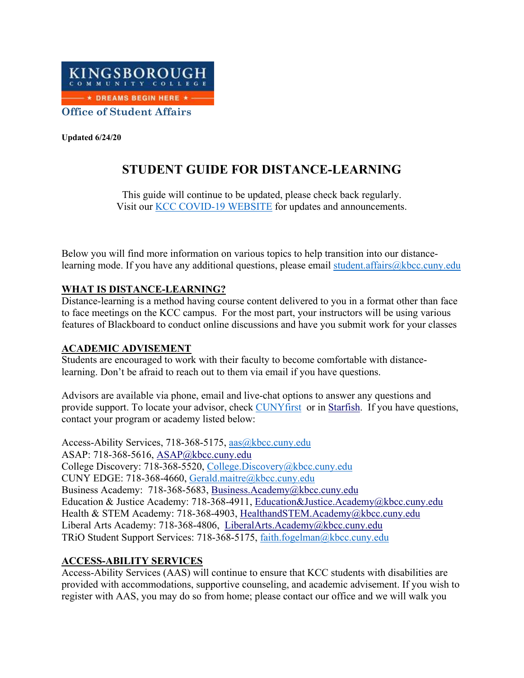

**Updated 6/24/20**

# **STUDENT GUIDE FOR DISTANCE-LEARNING**

This guide will continue to be updated, please check back regularly. Visit our **KCC COVID-19 WEBSITE** for updates and announcements.

Below you will find more information on various topics to help transition into our distancelearning mode. If you have any additional questions, please email [student.affairs@kbcc.cuny.edu](mailto:student.affairs@kbcc.cuny.edu)

#### **WHAT IS DISTANCE-LEARNING?**

Distance-learning is a method having course content delivered to you in a format other than face to face meetings on the KCC campus. For the most part, your instructors will be using various features of Blackboard to conduct online discussions and have you submit work for your classes

#### **ACADEMIC ADVISEMENT**

Students are encouraged to work with their faculty to become comfortable with distancelearning. Don't be afraid to reach out to them via email if you have questions.

Advisors are available via phone, email and live-chat options to answer any questions and provide support. To locate your advisor, check [CUNYfirst](https://ssologin.cuny.edu/cuny.html?resource_url=https%3A%2F%2Fhome.cunyfirst.cuny.edu%252Fpsp%252Fcnyepprd%252FEMPLOYEE%252FEMPL%252Fh%252F%3Ftab%253DDEFAULT) or in [Starfish.](https://kingsboroughcc.okta.com/app/kingsboroughcommunitycollege_starfishsp_1/exk3k26p8MtCT2Nf3356/sso/saml) If you have questions, contact your program or academy listed below:

Access-Ability Services, 718-368-5175, [aas@kbcc.cuny.edu](mailto:aas@kbcc.cuny.edu) ASAP: 718-368-5616, [ASAP@kbcc.cuny.edu](mailto:ASAP@kbcc.cuny.edu) College Discovery: 718-368-5520, [College.Discovery@kbcc.cuny.edu](mailto:College.Discovery@kbcc.cuny.edu) CUNY EDGE: 718-368-4660, [Gerald.maitre@kbcc.cuny.edu](mailto:Gerald.maitre@kbcc.cuny.edu) Business Academy: 718-368-5683, [Business.Academy@kbcc.cuny.edu](mailto:LiberalArts.Academy@kbcc.cuny.edu) Education & Justice Academy: 718-368-4911, [Education&Justice.Academy@kbcc.cuny.edu](mailto:LiberalArts.Academy@kbcc.cuny.edu) Health & STEM Academy: 718-368-4903, [HealthandSTEM.Academy@kbcc.cuny.edu](mailto:HealthandSTEM.Academy@kbcc.cuny.edu) Liberal Arts Academy: 718-368-4806, [LiberalArts.Academy@kbcc.cuny.edu](mailto:LiberalArts.Academy@kbcc.cuny.edu) TRiO Student Support Services: 718-368-5175, [faith.fogelman@kbcc.cuny.edu](mailto:faith.fogelman@kbcc.cuny.edu)

#### **ACCESS-ABILITY SERVICES**

Access-Ability Services (AAS) will continue to ensure that KCC students with disabilities are provided with accommodations, supportive counseling, and academic advisement. If you wish to register with AAS, you may do so from home; please contact our office and we will walk you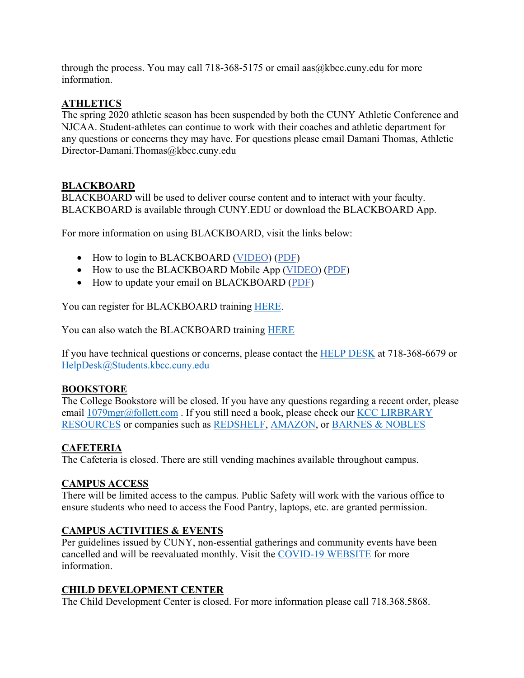through the process. You may call 718-368-5175 or email aas  $@k$  bcc.cuny.edu for more information.

### **ATHLETICS**

The spring 2020 athletic season has been suspended by both the CUNY Athletic Conference and NJCAA. Student-athletes can continue to work with their coaches and athletic department for any questions or concerns they may have. For questions please email Damani Thomas, Athletic Director-Damani.Thomas@kbcc.cuny.edu

#### **BLACKBOARD**

BLACKBOARD will be used to deliver course content and to interact with your faculty. BLACKBOARD is available through CUNY.EDU or download the BLACKBOARD App.

For more information on using BLACKBOARD, visit the links below:

- How to login to BLACKBOARD [\(VIDEO\)](https://beta.mailbutler.io/tracking/hit/2e66ec91-db0e-4861-b0a6-69339e1b668f/71ad5522-6bd2-4597-957e-c21609fbc623) [\(PDF\)](https://beta.mailbutler.io/tracking/hit/2e66ec91-db0e-4861-b0a6-69339e1b668f/28467635-00f1-4478-9603-974ef4b3b893)
- How to use the BLACKBOARD Mobile App [\(VIDEO\)](https://beta.mailbutler.io/tracking/hit/2e66ec91-db0e-4861-b0a6-69339e1b668f/f65d5e65-2923-495b-9c5d-2c431b92e0e7) [\(PDF\)](https://beta.mailbutler.io/tracking/hit/2e66ec91-db0e-4861-b0a6-69339e1b668f/8a575a65-50a9-4801-ac89-4fc69587884f)
- How to update your email on BLACKBOARD [\(PDF\)](https://beta.mailbutler.io/tracking/hit/2e66ec91-db0e-4861-b0a6-69339e1b668f/28467635-00f1-4478-9603-974ef4b3b893)

You can register for BLACKBOARD training [HERE.](https://inside.kingsborough.edu/WORKSHOPS_APP/)

You can also watch the BLACKBOARD training [HERE](https://kingsborough.yuja.com/V/Video?v=769404&node=3198253&a=1522644370&autoplay=1)

If you have technical questions or concerns, please contact the [HELP DESK](https://www.kbcc.cuny.edu/bb/homepage.html) at 718-368-6679 or [HelpDesk@Students.kbcc.cuny.edu](mailto:HelpDesk@Students.kbcc.cuny.edu)

#### **BOOKSTORE**

The College Bookstore will be closed. If you have any questions regarding a recent order, please email  $1079$ mgr@follett.com. If you still need a book, please check our KCC LIRBRARY [RESOURCES](https://www.kbcc.cuny.edu/kcclibrary/Homepage.html) or companies such as [REDSHELF,](https://redshelf.com/) [AMAZON,](https://www.amazon.com/rentals/b?ie=UTF8&node=17853655011) or [BARNES & NOBLES](https://www.barnesandnoble.com/h/textbooks/rental)

# **CAFETERIA**

The Cafeteria is closed. There are still vending machines available throughout campus.

#### **CAMPUS ACCESS**

There will be limited access to the campus. Public Safety will work with the various office to ensure students who need to access the Food Pantry, laptops, etc. are granted permission.

#### **CAMPUS ACTIVITIES & EVENTS**

Per guidelines issued by CUNY, non-essential gatherings and community events have been cancelled and will be reevaluated monthly. Visit the [COVID-19 WEBSITE](https://www.kbcc.cuny.edu/coronavirus/index.html) for more information.

#### **CHILD DEVELOPMENT CENTER**

The Child Development Center is closed. For more information please call 718.368.5868.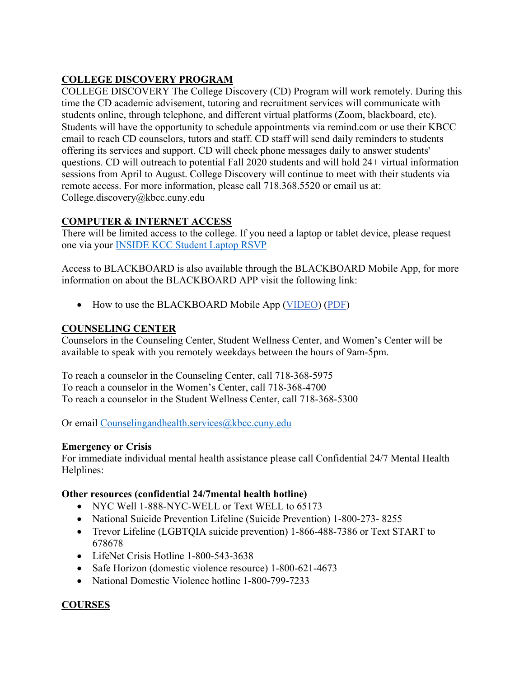# **COLLEGE DISCOVERY PROGRAM**

COLLEGE DISCOVERY The College Discovery (CD) Program will work remotely. During this time the CD academic advisement, tutoring and recruitment services will communicate with students online, through telephone, and different virtual platforms (Zoom, blackboard, etc). Students will have the opportunity to schedule appointments via remind.com or use their KBCC email to reach CD counselors, tutors and staff. CD staff will send daily reminders to students offering its services and support. CD will check phone messages daily to answer students' questions. CD will outreach to potential Fall 2020 students and will hold 24+ virtual information sessions from April to August. College Discovery will continue to meet with their students via remote access. For more information, please call 718.368.5520 or email us at: College.discovery@kbcc.cuny.edu

# **COMPUTER & INTERNET ACCESS**

There will be limited access to the college. If you need a laptop or tablet device, please request one via your [INSIDE KCC Student Laptop RSVP](https://inside.kingsborough.edu/eserve/Laptoprsvp/)

Access to BLACKBOARD is also available through the BLACKBOARD Mobile App, for more information on about the BLACKBOARD APP visit the following link:

• How to use the BLACKBOARD Mobile App [\(VIDEO\)](https://beta.mailbutler.io/tracking/hit/2e66ec91-db0e-4861-b0a6-69339e1b668f/f65d5e65-2923-495b-9c5d-2c431b92e0e7) [\(PDF\)](https://beta.mailbutler.io/tracking/hit/2e66ec91-db0e-4861-b0a6-69339e1b668f/8a575a65-50a9-4801-ac89-4fc69587884f)

# **COUNSELING CENTER**

Counselors in the Counseling Center, Student Wellness Center, and Women's Center will be available to speak with you remotely weekdays between the hours of 9am-5pm.

To reach a counselor in the Counseling Center, call 718-368-5975 To reach a counselor in the Women's Center, call 718-368-4700 To reach a counselor in the Student Wellness Center, call 718-368-5300

Or email [Counselingandhealth.services@kbcc.cuny.edu](mailto:Counselingandhealth.services@kbcc.cuny.edu)

# **Emergency or Crisis**

For immediate individual mental health assistance please call Confidential 24/7 Mental Health Helplines:

#### **Other resources (confidential 24/7mental health hotline)**

- NYC Well 1-888-NYC-WELL or Text WELL to 65173
- National Suicide Prevention Lifeline (Suicide Prevention) 1-800-273- 8255
- Trevor Lifeline (LGBTQIA suicide prevention) 1-866-488-7386 or Text START to 678678
- LifeNet Crisis Hotline 1-800-543-3638
- Safe Horizon (domestic violence resource) 1-800-621-4673
- National Domestic Violence hotline 1-800-799-7233

# **COURSES**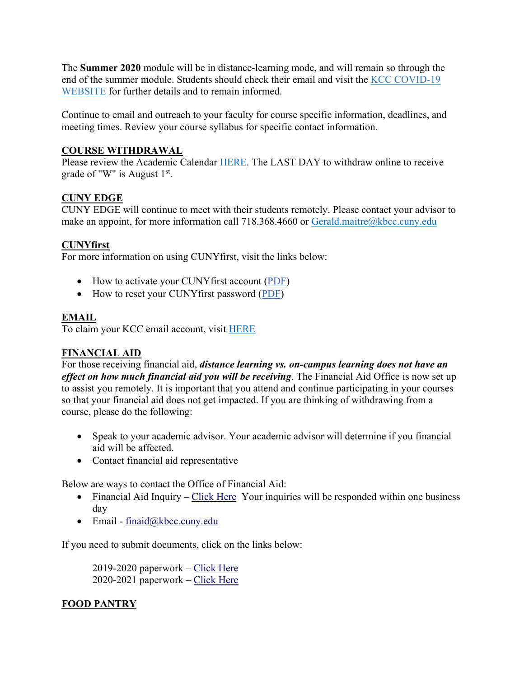The **Summer 2020** module will be in distance-learning mode, and will remain so through the end of the summer module. Students should check their email and visit the [KCC COVID-19](https://www.kbcc.cuny.edu/coronavirus/online.html)  [WEBSITE](https://www.kbcc.cuny.edu/coronavirus/online.html) for further details and to remain informed.

Continue to email and outreach to your faculty for course specific information, deadlines, and meeting times. Review your course syllabus for specific contact information.

# **COURSE WITHDRAWAL**

Please review the Academic Calendar [HERE.](https://www.kbcc.cuny.edu/registrar/documents/2020/Spring2020-BAcademicCalendar.pdf) The LAST DAY to withdraw online to receive grade of "W" is August  $1<sup>st</sup>$ .

# **CUNY EDGE**

CUNY EDGE will continue to meet with their students remotely. Please contact your advisor to make an appoint, for more information call 718.368.4660 or [Gerald.maitre@kbcc.cuny.edu](mailto:Gerald.maitre@kbcc.cuny.edu)

# **CUNYfirst**

For more information on using CUNYfirst, visit the links below:

- How to activate your CUNYfirst account [\(PDF\)](https://beta.mailbutler.io/tracking/hit/2e66ec91-db0e-4861-b0a6-69339e1b668f/38206c1d-f1ac-48a2-96e2-c61c5b5aa791)
- How to reset your CUNYfirst password [\(PDF\)](https://beta.mailbutler.io/tracking/hit/2e66ec91-db0e-4861-b0a6-69339e1b668f/a01d7c62-2969-450a-b44a-00ec085a84fc)

# **EMAIL**

To claim your KCC email account, visit [HERE](https://www.kbcc.cuny.edu/coronavirus/online.html#email)

# **FINANCIAL AID**

For those receiving financial aid, *distance learning vs. on-campus learning does not have an effect on how much financial aid you will be receiving*. The Financial Aid Office is now set up to assist you remotely. It is important that you attend and continue participating in your courses so that your financial aid does not get impacted. If you are thinking of withdrawing from a course, please do the following:

- Speak to your academic advisor. Your academic advisor will determine if you financial aid will be affected.
- Contact financial aid representative

Below are ways to contact the Office of Financial Aid:

- Financial Aid Inquiry [Click Here](http://bit.ly/KCCFAInquiry) Your inquiries will be responded within one business day
- Email  $final@kbcc.cuny.edu$

If you need to submit documents, click on the links below:

2019-2020 paperwork – [Click Here](http://bit.ly/FAUPLOAD) 2020-2021 paperwork – [Click Here](http://bit.ly/faupload2020)

# **FOOD PANTRY**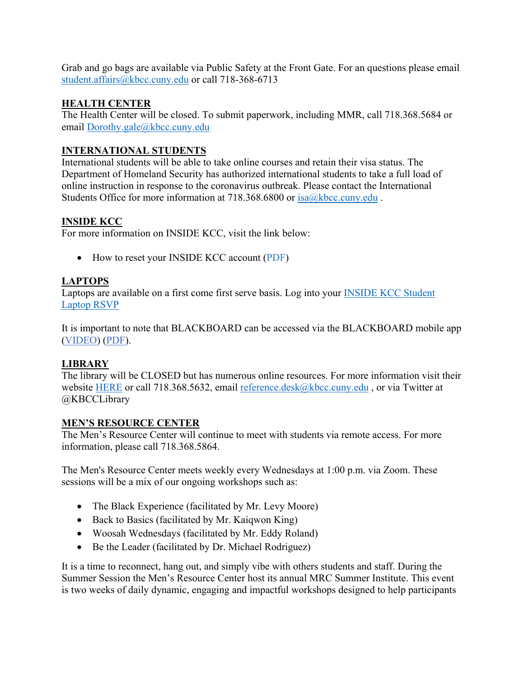Grab and go bags are available via Public Safety at the Front Gate. For an questions please email [student.affairs@kbcc.cuny.edu](mailto:student.affairs@kbcc.cuny.edu) or call 718-368-6713

#### **HEALTH CENTER**

The Health Center will be closed. To submit paperwork, including MMR, call 718.368.5684 or email [Dorothy.gale@kbcc.cuny.edu](mailto:Dorothy.gale@kbcc.cuny.edu)

# **INTERNATIONAL STUDENTS**

International students will be able to take online courses and retain their visa status. The Department of Homeland Security has authorized international students to take a full load of online instruction in response to the coronavirus outbreak. Please contact the International Students Office for more information at 718.368.6800 or [isa@kbcc.cuny.edu](mailto:isa@kbcc.cuny.edu).

# **INSIDE KCC**

For more information on INSIDE KCC, visit the link below:

• How to reset your INSIDE KCC account [\(PDF\)](https://beta.mailbutler.io/tracking/hit/2e66ec91-db0e-4861-b0a6-69339e1b668f/ce9d9007-c0cb-46c0-a3db-45c5ce389f24)

# **LAPTOPS**

Laptops are available on a first come first serve basis. Log into your [INSIDE KCC Student](https://inside.kingsborough.edu/eserve/Laptoprsvp/)  [Laptop RSVP](https://inside.kingsborough.edu/eserve/Laptoprsvp/)

It is important to note that BLACKBOARD can be accessed via the BLACKBOARD mobile app [\(VIDEO\)](https://beta.mailbutler.io/tracking/hit/2e66ec91-db0e-4861-b0a6-69339e1b668f/f65d5e65-2923-495b-9c5d-2c431b92e0e7) [\(PDF\)](https://beta.mailbutler.io/tracking/hit/2e66ec91-db0e-4861-b0a6-69339e1b668f/8a575a65-50a9-4801-ac89-4fc69587884f).

# **LIBRARY**

The library will be CLOSED but has numerous online resources. For more information visit their website [HERE](https://www.kbcc.cuny.edu/kcclibrary/Homepage.html) or call 718.368.5632, email [reference.desk@kbcc.cuny.edu](mailto:reference.desk@kbcc.cuny.edu), or via Twitter at @KBCCLibrary

#### **MEN'S RESOURCE CENTER**

The Men's Resource Center will continue to meet with students via remote access. For more information, please call 718.368.5864.

The Men's Resource Center meets weekly every Wednesdays at 1:00 p.m. via Zoom. These sessions will be a mix of our ongoing workshops such as:

- The Black Experience (facilitated by Mr. Levy Moore)
- Back to Basics (facilitated by Mr. Kaigwon King)
- Woosah Wednesdays (facilitated by Mr. Eddy Roland)
- Be the Leader (facilitated by Dr. Michael Rodriguez)

It is a time to reconnect, hang out, and simply vibe with others students and staff. During the Summer Session the Men's Resource Center host its annual MRC Summer Institute. This event is two weeks of daily dynamic, engaging and impactful workshops designed to help participants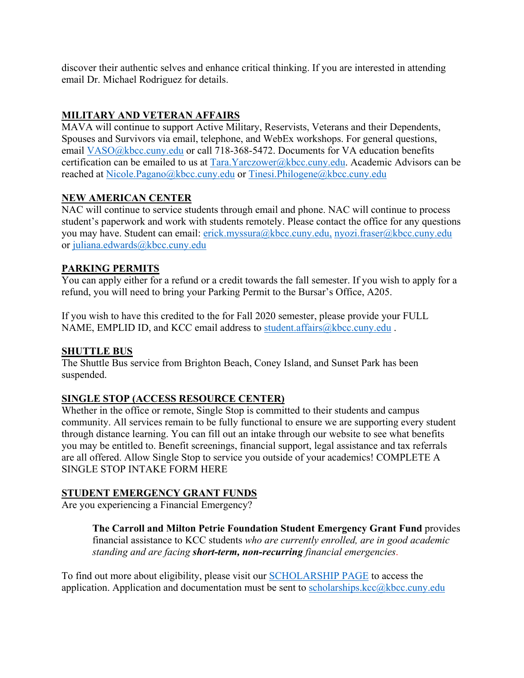discover their authentic selves and enhance critical thinking. If you are interested in attending email Dr. Michael Rodriguez for details.

# **MILITARY AND VETERAN AFFAIRS**

MAVA will continue to support Active Military, Reservists, Veterans and their Dependents, Spouses and Survivors via email, telephone, and WebEx workshops. For general questions, email [VASO@kbcc.cuny.edu](mailto:VASO@kbcc.cuny.edu) or call 718-368-5472. Documents for VA education benefits certification can be emailed to us at [Tara.Yarczower@kbcc.cuny.edu.](mailto:Tara.Yarczower@kbcc.cuny.edu) Academic Advisors can be reached at [Nicole.Pagano@kbcc.cuny.edu](mailto:Nicole.Pagano@kbcc.cuny.edu) or [Tinesi.Philogene@kbcc.cuny.edu](mailto:Tinesi.Philogene@kbcc.cuny.edu)

# **NEW AMERICAN CENTER**

NAC will continue to service students through email and phone. NAC will continue to process student's paperwork and work with students remotely. Please contact the office for any questions you may have. Student can email: [erick.myssura@kbcc.cuny.edu,](mailto:erick.myssura@kbcc.cuny.edu) [nyozi.fraser@kbcc.cuny.edu](mailto:nyozi.fraser@kbcc.cuny.edu) or [juliana.edwards@kbcc.cuny.edu](mailto:juliana.edwards@kbcc.cuny.edu)

# **PARKING PERMITS**

You can apply either for a refund or a credit towards the fall semester. If you wish to apply for a refund, you will need to bring your Parking Permit to the Bursar's Office, A205.

If you wish to have this credited to the for Fall 2020 semester, please provide your FULL NAME, EMPLID ID, and KCC email address to [student.affairs@kbcc.cuny.edu](mailto:student.affairs@kbcc.cuny.edu).

#### **SHUTTLE BUS**

The Shuttle Bus service from Brighton Beach, Coney Island, and Sunset Park has been suspended.

# **SINGLE STOP (ACCESS RESOURCE CENTER)**

Whether in the office or remote, Single Stop is committed to their students and campus community. All services remain to be fully functional to ensure we are supporting every student through distance learning. You can fill out an intake through our website to see what benefits you may be entitled to. Benefit screenings, financial support, legal assistance and tax referrals are all offered. Allow Single Stop to service you outside of your academics! COMPLETE A SINGLE STOP INTAKE FORM HERE

#### **STUDENT EMERGENCY GRANT FUNDS**

Are you experiencing a Financial Emergency?

**The Carroll and Milton Petrie Foundation Student Emergency Grant Fund** provides financial assistance to KCC students *who are currently enrolled, are in good academic standing and are facing short-term, non-recurring financial emergencies*.

To find out more about eligibility, please visit our [SCHOLARSHIP PAGE](http://www.kbcc.cuny.edu/admission/EmergencyFund.html) to access the application. Application and documentation must be sent to scholarships.kcc $@k$ bcc.cuny.edu